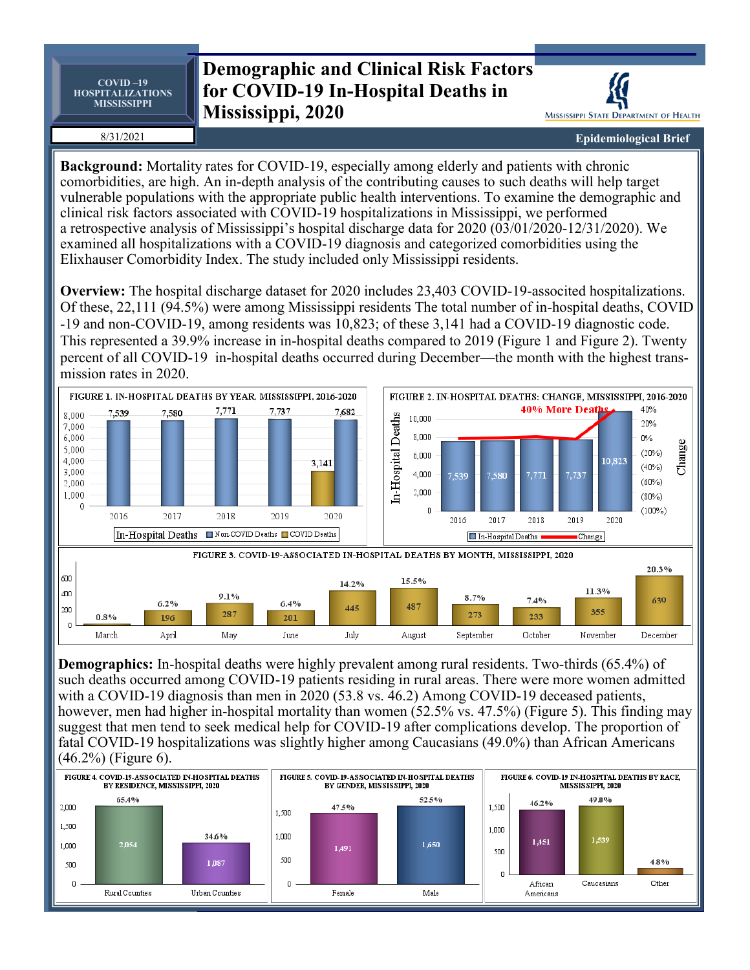**COVID –19 HOSPITALIZATIONS MISSISSIPPI**

## **Demographic and Clinical Risk Factors for COVID-19 In-Hospital Deaths in Mississippi, 2020**

8/31/2021

MISSISSIPPI STATE DEPARTMENT OF HEALTH

**Epidemiological Brief**

**Background:** Mortality rates for COVID-19, especially among elderly and patients with chronic comorbidities, are high. An in-depth analysis of the contributing causes to such deaths will help target vulnerable populations with the appropriate public health interventions. To examine the demographic and clinical risk factors associated with COVID-19 hospitalizations in Mississippi, we performed a retrospective analysis of Mississippi's hospital discharge data for 2020 (03/01/2020-12/31/2020). We examined all hospitalizations with a COVID-19 diagnosis and categorized comorbidities using the Elixhauser Comorbidity Index. The study included only Mississippi residents.

**Overview:** The hospital discharge dataset for 2020 includes 23,403 COVID-19-associted hospitalizations. Of these, 22,111 (94.5%) were among Mississippi residents The total number of in-hospital deaths, COVID -19 and non-COVID-19, among residents was 10,823; of these 3,141 had a COVID-19 diagnostic code. This represented a 39.9% increase in in-hospital deaths compared to 2019 (Figure 1 and Figure 2). Twenty percent of all COVID-19 in-hospital deaths occurred during December—the month with the highest transmission rates in 2020.



**Demographics:** In-hospital deaths were highly prevalent among rural residents. Two-thirds (65.4%) of such deaths occurred among COVID-19 patients residing in rural areas. There were more women admitted with a COVID-19 diagnosis than men in 2020 (53.8 vs. 46.2) Among COVID-19 deceased patients, however, men had higher in-hospital mortality than women (52.5% vs. 47.5%) (Figure 5). This finding may suggest that men tend to seek medical help for COVID-19 after complications develop. The proportion of fatal COVID-19 hospitalizations was slightly higher among Caucasians (49.0%) than African Americans (46.2%) (Figure 6).